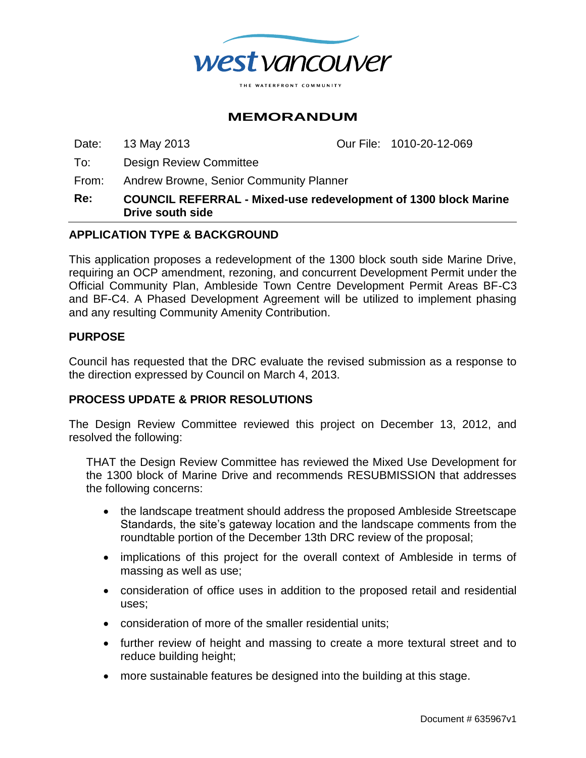

# **MEMORANDUM**

Date: 13 May 2013 Our File: 1010-20-12-069

To: Design Review Committee

From: Andrew Browne, Senior Community Planner

**Re: COUNCIL REFERRAL - Mixed-use redevelopment of 1300 block Marine Drive south side**

### **APPLICATION TYPE & BACKGROUND**

This application proposes a redevelopment of the 1300 block south side Marine Drive, requiring an OCP amendment, rezoning, and concurrent Development Permit under the Official Community Plan, Ambleside Town Centre Development Permit Areas BF-C3 and BF-C4. A Phased Development Agreement will be utilized to implement phasing and any resulting Community Amenity Contribution.

#### **PURPOSE**

Council has requested that the DRC evaluate the revised submission as a response to the direction expressed by Council on March 4, 2013.

### **PROCESS UPDATE & PRIOR RESOLUTIONS**

The Design Review Committee reviewed this project on December 13, 2012, and resolved the following:

THAT the Design Review Committee has reviewed the Mixed Use Development for the 1300 block of Marine Drive and recommends RESUBMISSION that addresses the following concerns:

- the landscape treatment should address the proposed Ambleside Streetscape Standards, the site's gateway location and the landscape comments from the roundtable portion of the December 13th DRC review of the proposal;
- implications of this project for the overall context of Ambleside in terms of massing as well as use;
- consideration of office uses in addition to the proposed retail and residential uses;
- consideration of more of the smaller residential units;
- further review of height and massing to create a more textural street and to reduce building height;
- more sustainable features be designed into the building at this stage.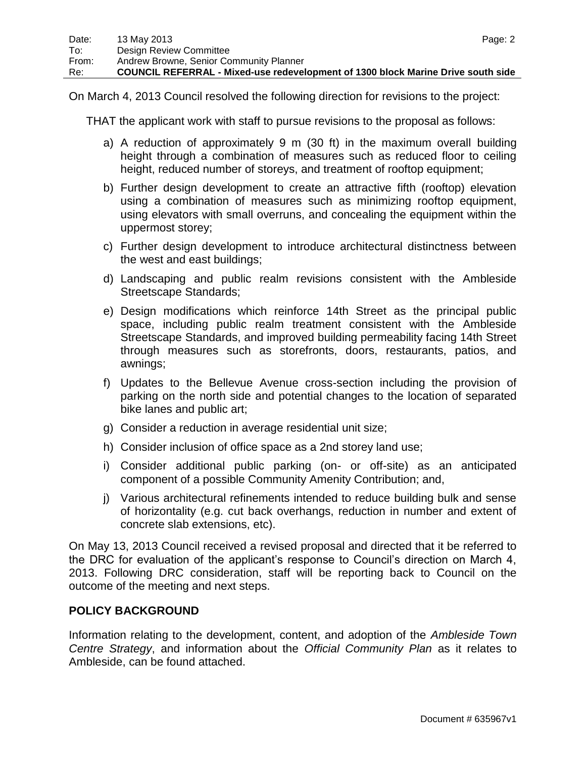On March 4, 2013 Council resolved the following direction for revisions to the project:

THAT the applicant work with staff to pursue revisions to the proposal as follows:

- a) A reduction of approximately 9 m (30 ft) in the maximum overall building height through a combination of measures such as reduced floor to ceiling height, reduced number of storeys, and treatment of rooftop equipment;
- b) Further design development to create an attractive fifth (rooftop) elevation using a combination of measures such as minimizing rooftop equipment, using elevators with small overruns, and concealing the equipment within the uppermost storey;
- c) Further design development to introduce architectural distinctness between the west and east buildings;
- d) Landscaping and public realm revisions consistent with the Ambleside Streetscape Standards;
- e) Design modifications which reinforce 14th Street as the principal public space, including public realm treatment consistent with the Ambleside Streetscape Standards, and improved building permeability facing 14th Street through measures such as storefronts, doors, restaurants, patios, and awnings;
- f) Updates to the Bellevue Avenue cross-section including the provision of parking on the north side and potential changes to the location of separated bike lanes and public art;
- g) Consider a reduction in average residential unit size;
- h) Consider inclusion of office space as a 2nd storey land use;
- i) Consider additional public parking (on- or off-site) as an anticipated component of a possible Community Amenity Contribution; and,
- j) Various architectural refinements intended to reduce building bulk and sense of horizontality (e.g. cut back overhangs, reduction in number and extent of concrete slab extensions, etc).

On May 13, 2013 Council received a revised proposal and directed that it be referred to the DRC for evaluation of the applicant's response to Council's direction on March 4, 2013. Following DRC consideration, staff will be reporting back to Council on the outcome of the meeting and next steps.

## **POLICY BACKGROUND**

Information relating to the development, content, and adoption of the *Ambleside Town Centre Strategy*, and information about the *Official Community Plan* as it relates to Ambleside, can be found attached.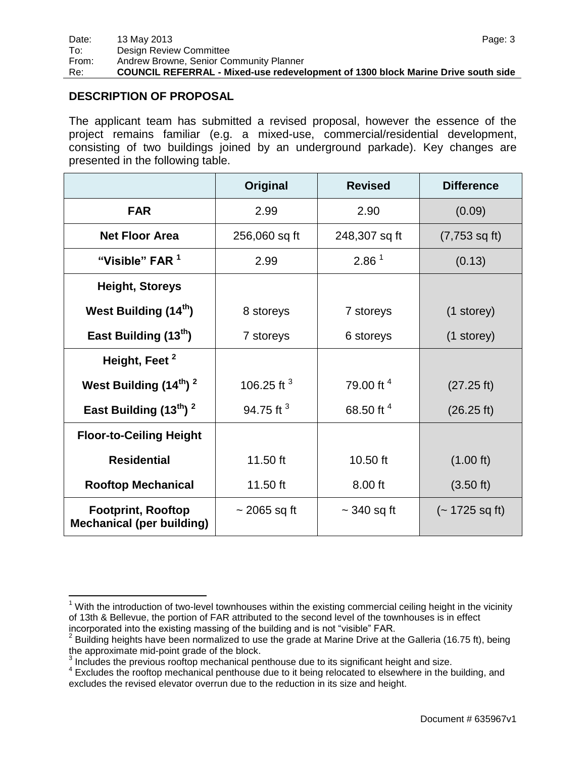### **DESCRIPTION OF PROPOSAL**

The applicant team has submitted a revised proposal, however the essence of the project remains familiar (e.g. a mixed-use, commercial/residential development, consisting of two buildings joined by an underground parkade). Key changes are presented in the following table.

|                                                               | Original          | <b>Revised</b>    | <b>Difference</b>       |
|---------------------------------------------------------------|-------------------|-------------------|-------------------------|
| <b>FAR</b>                                                    | 2.99              | 2.90              | (0.09)                  |
| <b>Net Floor Area</b>                                         | 256,060 sq ft     | 248,307 sq ft     | $(7,753 \text{ sq ft})$ |
| "Visible" FAR 1                                               | 2.99              | 2.86 <sup>1</sup> | (0.13)                  |
| <b>Height, Storeys</b>                                        |                   |                   |                         |
| West Building (14 <sup>th</sup> )                             | 8 storeys         | 7 storeys         | (1 storey)              |
| East Building (13 <sup>th</sup> )                             | 7 storeys         | 6 storeys         | $(1$ storey)            |
| Height, Feet <sup>2</sup>                                     |                   |                   |                         |
| West Building (14 <sup>th</sup> ) <sup>2</sup>                | 106.25 ft $3$     | 79.00 ft $4$      | (27.25 ft)              |
| East Building $(13^{th})^2$                                   | 94.75 ft $3$      | 68.50 ft 4        | (26.25 ft)              |
| <b>Floor-to-Ceiling Height</b>                                |                   |                   |                         |
| <b>Residential</b>                                            | 11.50 ft          | 10.50 ft          | (1.00 ft)               |
| <b>Rooftop Mechanical</b>                                     | 11.50 ft          | 8.00 ft           | $(3.50 \text{ ft})$     |
| <b>Footprint, Rooftop</b><br><b>Mechanical (per building)</b> | $\sim$ 2065 sq ft | $\sim$ 340 sq ft  | $(-1725 \text{ sq ft})$ |

 $\overline{a}$  $1$  With the introduction of two-level townhouses within the existing commercial ceiling height in the vicinity of 13th & Bellevue, the portion of FAR attributed to the second level of the townhouses is in effect incorporated into the existing massing of the building and is not "visible" FAR.

 $2$  Building heights have been normalized to use the grade at Marine Drive at the Galleria (16.75 ft), being the approximate mid-point grade of the block.

 $3$  Includes the previous rooftop mechanical penthouse due to its significant height and size.

<sup>&</sup>lt;sup>4</sup> Excludes the rooftop mechanical penthouse due to it being relocated to elsewhere in the building, and excludes the revised elevator overrun due to the reduction in its size and height.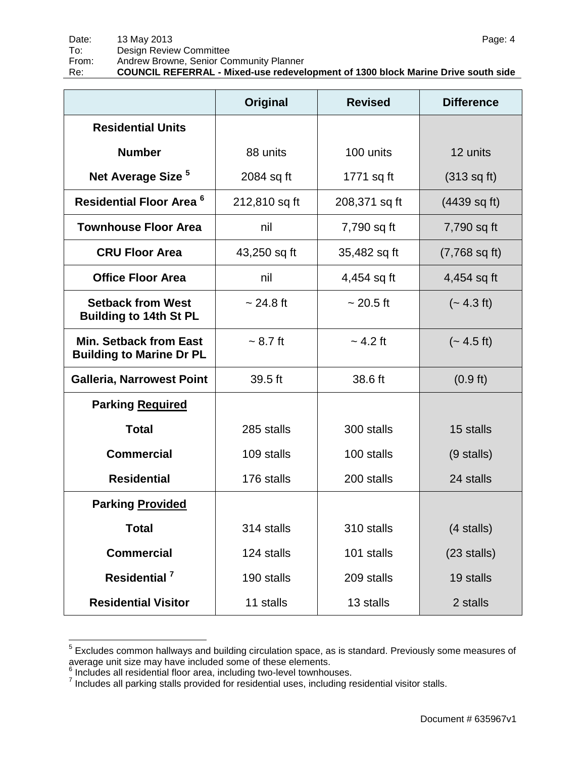|                                                                  | Original           | <b>Revised</b> | <b>Difference</b>             |
|------------------------------------------------------------------|--------------------|----------------|-------------------------------|
| <b>Residential Units</b>                                         |                    |                |                               |
| <b>Number</b>                                                    | 88 units           | 100 units      | 12 units                      |
| Net Average Size <sup>5</sup>                                    | 2084 sq ft         | 1771 sq ft     | $(313 \text{ sq } \text{ft})$ |
| Residential Floor Area <sup>6</sup>                              | 212,810 sq ft      | 208,371 sq ft  | $(4439 \text{ sq ft})$        |
| <b>Townhouse Floor Area</b>                                      | nil                | 7,790 sq ft    | 7,790 sq ft                   |
| <b>CRU Floor Area</b>                                            | 43,250 sq ft       | 35,482 sq ft   | $(7,768 \text{ sq ft})$       |
| <b>Office Floor Area</b>                                         | nil                | 4,454 sq ft    | 4,454 sq ft                   |
| <b>Setback from West</b><br><b>Building to 14th St PL</b>        | $~24.8 \text{ ft}$ | $~20.5$ ft     | $(-4.3 \text{ ft})$           |
| <b>Min. Setback from East</b><br><b>Building to Marine Dr PL</b> | $~1$ - 8.7 ft      | $\sim$ 4.2 ft  | $(-4.5 \text{ ft})$           |
| <b>Galleria, Narrowest Point</b>                                 | 39.5 ft            | 38.6 ft        | $(0.9 \text{ ft})$            |
| <b>Parking Required</b>                                          |                    |                |                               |
| <b>Total</b>                                                     | 285 stalls         | 300 stalls     | 15 stalls                     |
| <b>Commercial</b>                                                | 109 stalls         | 100 stalls     | $(9$ stalls)                  |
| <b>Residential</b>                                               | 176 stalls         | 200 stalls     | 24 stalls                     |
| <b>Parking Provided</b>                                          |                    |                |                               |
| <b>Total</b>                                                     | 314 stalls         | 310 stalls     | $(4$ stalls)                  |
| <b>Commercial</b>                                                | 124 stalls         | 101 stalls     | $(23$ stalls)                 |
| Residential <sup>7</sup>                                         | 190 stalls         | 209 stalls     | 19 stalls                     |
| <b>Residential Visitor</b>                                       | 11 stalls          | 13 stalls      | 2 stalls                      |

 5 Excludes common hallways and building circulation space, as is standard. Previously some measures of

average unit size may have included some of these elements.<br><sup>6</sup> Includes all residential floor area, including two-level townhouses.<br><sup>7</sup> Includes all parking stalls provided for residential uses, including residential visi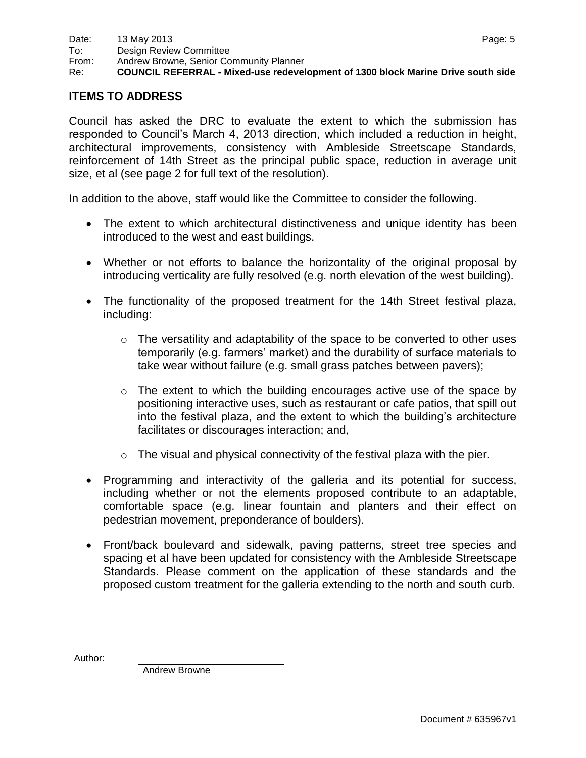#### **ITEMS TO ADDRESS**

Council has asked the DRC to evaluate the extent to which the submission has responded to Council's March 4, 2013 direction, which included a reduction in height, architectural improvements, consistency with Ambleside Streetscape Standards, reinforcement of 14th Street as the principal public space, reduction in average unit size, et al (see page 2 for full text of the resolution).

In addition to the above, staff would like the Committee to consider the following.

- The extent to which architectural distinctiveness and unique identity has been introduced to the west and east buildings.
- Whether or not efforts to balance the horizontality of the original proposal by introducing verticality are fully resolved (e.g. north elevation of the west building).
- The functionality of the proposed treatment for the 14th Street festival plaza, including:
	- $\circ$  The versatility and adaptability of the space to be converted to other uses temporarily (e.g. farmers' market) and the durability of surface materials to take wear without failure (e.g. small grass patches between pavers);
	- $\circ$  The extent to which the building encourages active use of the space by positioning interactive uses, such as restaurant or cafe patios, that spill out into the festival plaza, and the extent to which the building's architecture facilitates or discourages interaction; and,
	- $\circ$  The visual and physical connectivity of the festival plaza with the pier.
- Programming and interactivity of the galleria and its potential for success, including whether or not the elements proposed contribute to an adaptable, comfortable space (e.g. linear fountain and planters and their effect on pedestrian movement, preponderance of boulders).
- Front/back boulevard and sidewalk, paving patterns, street tree species and spacing et al have been updated for consistency with the Ambleside Streetscape Standards. Please comment on the application of these standards and the proposed custom treatment for the galleria extending to the north and south curb.

Author:

Andrew Browne